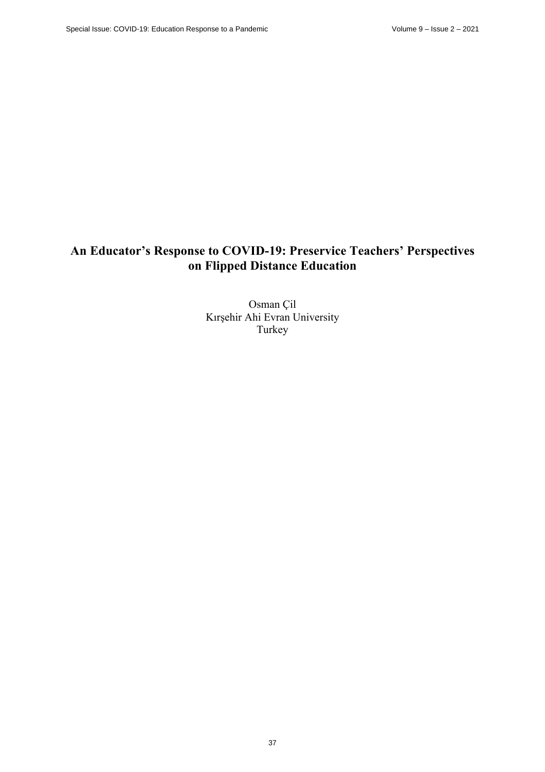# **An Educator's Response to COVID-19: Preservice Teachers' Perspectives on Flipped Distance Education**

Osman Çil Kırşehir Ahi Evran University Turkey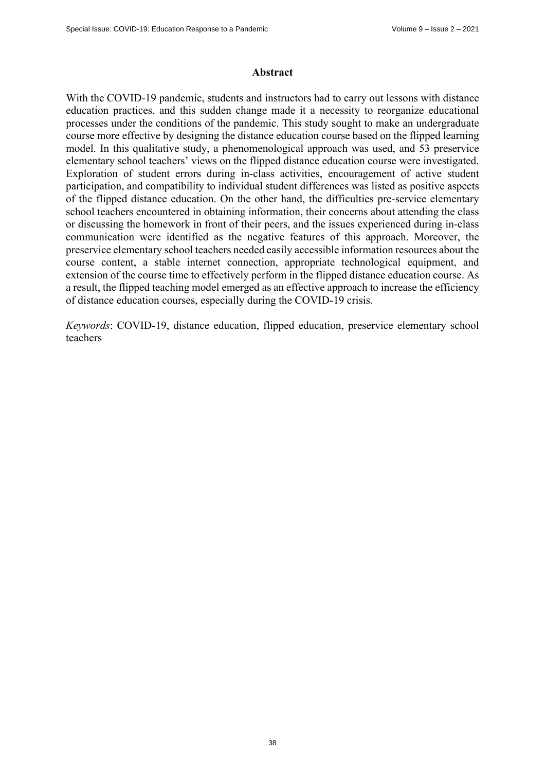#### **Abstract**

With the COVID-19 pandemic, students and instructors had to carry out lessons with distance education practices, and this sudden change made it a necessity to reorganize educational processes under the conditions of the pandemic. This study sought to make an undergraduate course more effective by designing the distance education course based on the flipped learning model. In this qualitative study, a phenomenological approach was used, and 53 preservice elementary school teachers' views on the flipped distance education course were investigated. Exploration of student errors during in-class activities, encouragement of active student participation, and compatibility to individual student differences was listed as positive aspects of the flipped distance education. On the other hand, the difficulties pre-service elementary school teachers encountered in obtaining information, their concerns about attending the class or discussing the homework in front of their peers, and the issues experienced during in-class communication were identified as the negative features of this approach. Moreover, the preservice elementary school teachers needed easily accessible information resources about the course content, a stable internet connection, appropriate technological equipment, and extension of the course time to effectively perform in the flipped distance education course. As a result, the flipped teaching model emerged as an effective approach to increase the efficiency of distance education courses, especially during the COVID-19 crisis.

*Keywords*: COVID-19, distance education, flipped education, preservice elementary school teachers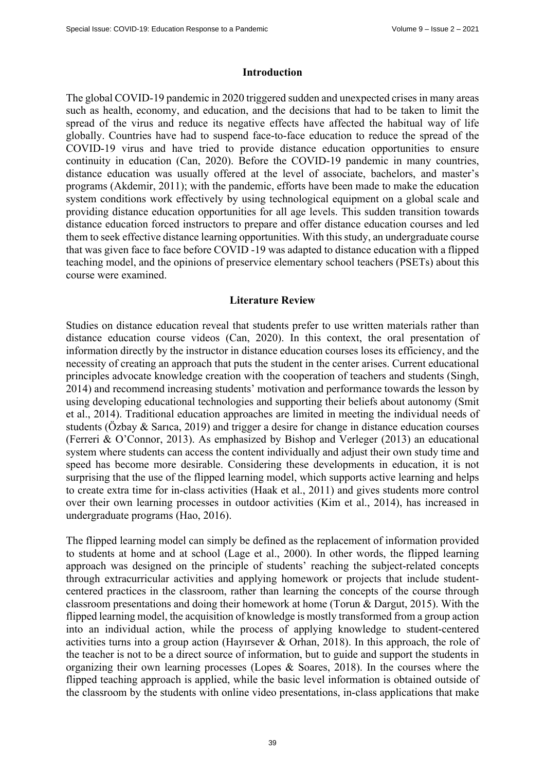#### **Introduction**

The global COVID-19 pandemic in 2020 triggered sudden and unexpected crises in many areas such as health, economy, and education, and the decisions that had to be taken to limit the spread of the virus and reduce its negative effects have affected the habitual way of life globally. Countries have had to suspend face-to-face education to reduce the spread of the COVID-19 virus and have tried to provide distance education opportunities to ensure continuity in education (Can, 2020). Before the COVID-19 pandemic in many countries, distance education was usually offered at the level of associate, bachelors, and master's programs (Akdemir, 2011); with the pandemic, efforts have been made to make the education system conditions work effectively by using technological equipment on a global scale and providing distance education opportunities for all age levels. This sudden transition towards distance education forced instructors to prepare and offer distance education courses and led them to seek effective distance learning opportunities. With this study, an undergraduate course that was given face to face before COVID -19 was adapted to distance education with a flipped teaching model, and the opinions of preservice elementary school teachers (PSETs) about this course were examined.

#### **Literature Review**

Studies on distance education reveal that students prefer to use written materials rather than distance education course videos (Can, 2020). In this context, the oral presentation of information directly by the instructor in distance education courses loses its efficiency, and the necessity of creating an approach that puts the student in the center arises. Current educational principles advocate knowledge creation with the cooperation of teachers and students (Singh, 2014) and recommend increasing students' motivation and performance towards the lesson by using developing educational technologies and supporting their beliefs about autonomy (Smit et al., 2014). Traditional education approaches are limited in meeting the individual needs of students (Özbay & Sarıca, 2019) and trigger a desire for change in distance education courses (Ferreri & O'Connor, 2013). As emphasized by Bishop and Verleger (2013) an educational system where students can access the content individually and adjust their own study time and speed has become more desirable. Considering these developments in education, it is not surprising that the use of the flipped learning model, which supports active learning and helps to create extra time for in-class activities (Haak et al., 2011) and gives students more control over their own learning processes in outdoor activities (Kim et al., 2014), has increased in undergraduate programs (Hao, 2016).

The flipped learning model can simply be defined as the replacement of information provided to students at home and at school (Lage et al., 2000). In other words, the flipped learning approach was designed on the principle of students' reaching the subject-related concepts through extracurricular activities and applying homework or projects that include studentcentered practices in the classroom, rather than learning the concepts of the course through classroom presentations and doing their homework at home (Torun & Dargut, 2015). With the flipped learning model, the acquisition of knowledge is mostly transformed from a group action into an individual action, while the process of applying knowledge to student-centered activities turns into a group action (Hayırsever & Orhan, 2018). In this approach, the role of the teacher is not to be a direct source of information, but to guide and support the students in organizing their own learning processes (Lopes & Soares, 2018). In the courses where the flipped teaching approach is applied, while the basic level information is obtained outside of the classroom by the students with online video presentations, in-class applications that make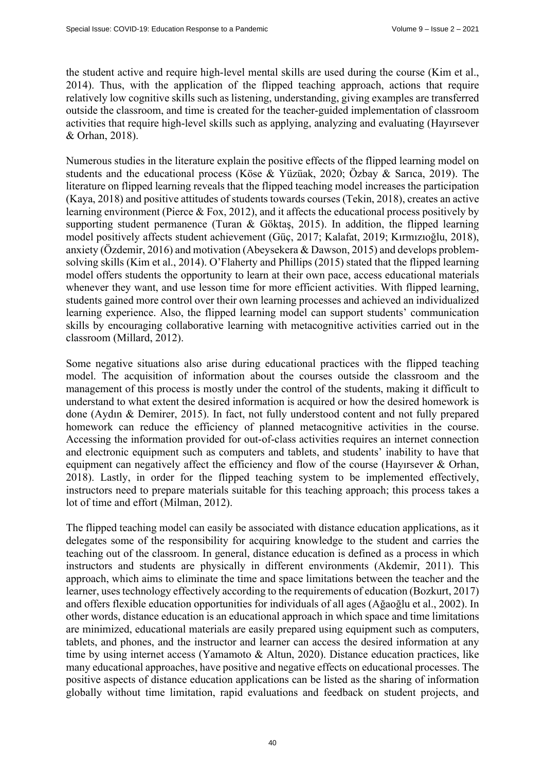the student active and require high-level mental skills are used during the course (Kim et al., 2014). Thus, with the application of the flipped teaching approach, actions that require relatively low cognitive skills such as listening, understanding, giving examples are transferred outside the classroom, and time is created for the teacher-guided implementation of classroom activities that require high-level skills such as applying, analyzing and evaluating (Hayırsever & Orhan, 2018).

Numerous studies in the literature explain the positive effects of the flipped learning model on students and the educational process (Köse & Yüzüak, 2020; Özbay & Sarıca, 2019). The literature on flipped learning reveals that the flipped teaching model increases the participation (Kaya, 2018) and positive attitudes of students towards courses (Tekin, 2018), creates an active learning environment (Pierce & Fox, 2012), and it affects the educational process positively by supporting student permanence (Turan & Göktaş, 2015). In addition, the flipped learning model positively affects student achievement (Güç, 2017; Kalafat, 2019; Kırmızıoğlu, 2018), anxiety (Özdemir, 2016) and motivation (Abeysekera & Dawson, 2015) and develops problemsolving skills (Kim et al., 2014). O'Flaherty and Phillips (2015) stated that the flipped learning model offers students the opportunity to learn at their own pace, access educational materials whenever they want, and use lesson time for more efficient activities. With flipped learning, students gained more control over their own learning processes and achieved an individualized learning experience. Also, the flipped learning model can support students' communication skills by encouraging collaborative learning with metacognitive activities carried out in the classroom (Millard, 2012).

Some negative situations also arise during educational practices with the flipped teaching model. The acquisition of information about the courses outside the classroom and the management of this process is mostly under the control of the students, making it difficult to understand to what extent the desired information is acquired or how the desired homework is done (Aydın & Demirer, 2015). In fact, not fully understood content and not fully prepared homework can reduce the efficiency of planned metacognitive activities in the course. Accessing the information provided for out-of-class activities requires an internet connection and electronic equipment such as computers and tablets, and students' inability to have that equipment can negatively affect the efficiency and flow of the course (Hayırsever & Orhan, 2018). Lastly, in order for the flipped teaching system to be implemented effectively, instructors need to prepare materials suitable for this teaching approach; this process takes a lot of time and effort (Milman, 2012).

The flipped teaching model can easily be associated with distance education applications, as it delegates some of the responsibility for acquiring knowledge to the student and carries the teaching out of the classroom. In general, distance education is defined as a process in which instructors and students are physically in different environments (Akdemir, 2011). This approach, which aims to eliminate the time and space limitations between the teacher and the learner, uses technology effectively according to the requirements of education (Bozkurt, 2017) and offers flexible education opportunities for individuals of all ages (Ağaoğlu et al., 2002). In other words, distance education is an educational approach in which space and time limitations are minimized, educational materials are easily prepared using equipment such as computers, tablets, and phones, and the instructor and learner can access the desired information at any time by using internet access (Yamamoto & Altun, 2020). Distance education practices, like many educational approaches, have positive and negative effects on educational processes. The positive aspects of distance education applications can be listed as the sharing of information globally without time limitation, rapid evaluations and feedback on student projects, and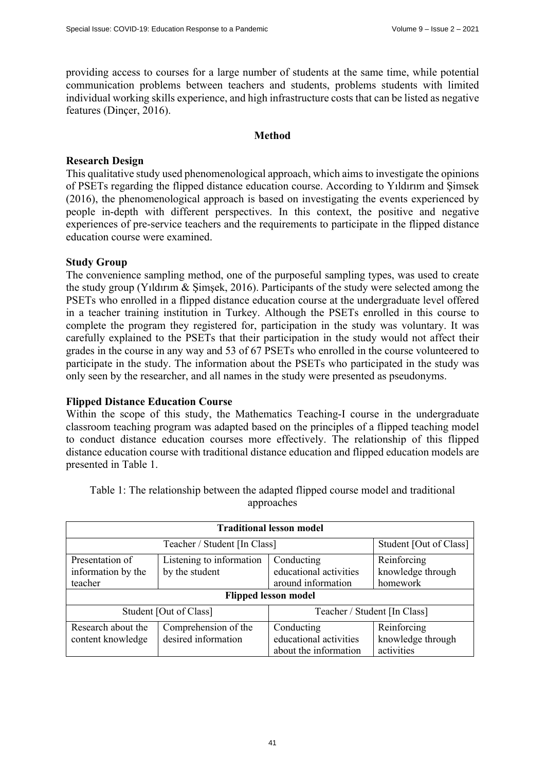providing access to courses for a large number of students at the same time, while potential communication problems between teachers and students, problems students with limited individual working skills experience, and high infrastructure costs that can be listed as negative features (Dinçer, 2016).

# **Method**

# **Research Design**

This qualitative study used phenomenological approach, which aims to investigate the opinions of PSETs regarding the flipped distance education course. According to Yıldırım and Şimsek (2016), the phenomenological approach is based on investigating the events experienced by people in-depth with different perspectives. In this context, the positive and negative experiences of pre-service teachers and the requirements to participate in the flipped distance education course were examined.

# **Study Group**

The convenience sampling method, one of the purposeful sampling types, was used to create the study group (Yıldırım & Şimşek, 2016). Participants of the study were selected among the PSETs who enrolled in a flipped distance education course at the undergraduate level offered in a teacher training institution in Turkey. Although the PSETs enrolled in this course to complete the program they registered for, participation in the study was voluntary. It was carefully explained to the PSETs that their participation in the study would not affect their grades in the course in any way and 53 of 67 PSETs who enrolled in the course volunteered to participate in the study. The information about the PSETs who participated in the study was only seen by the researcher, and all names in the study were presented as pseudonyms.

## **Flipped Distance Education Course**

Within the scope of this study, the Mathematics Teaching-I course in the undergraduate classroom teaching program was adapted based on the principles of a flipped teaching model to conduct distance education courses more effectively. The relationship of this flipped distance education course with traditional distance education and flipped education models are presented in Table 1.

| <b>Traditional lesson model</b> |                          |                              |                   |  |  |  |  |
|---------------------------------|--------------------------|------------------------------|-------------------|--|--|--|--|
|                                 | Student [Out of Class]   |                              |                   |  |  |  |  |
| Presentation of                 | Listening to information | Conducting                   | Reinforcing       |  |  |  |  |
| information by the              | by the student           | educational activities       | knowledge through |  |  |  |  |
| teacher                         |                          | around information           | homework          |  |  |  |  |
| <b>Flipped lesson model</b>     |                          |                              |                   |  |  |  |  |
|                                 | Student [Out of Class]   | Teacher / Student [In Class] |                   |  |  |  |  |
| Research about the              | Comprehension of the     | Conducting                   | Reinforcing       |  |  |  |  |
| content knowledge               | desired information      | educational activities       | knowledge through |  |  |  |  |
|                                 |                          | about the information        | activities        |  |  |  |  |

Table 1: The relationship between the adapted flipped course model and traditional approaches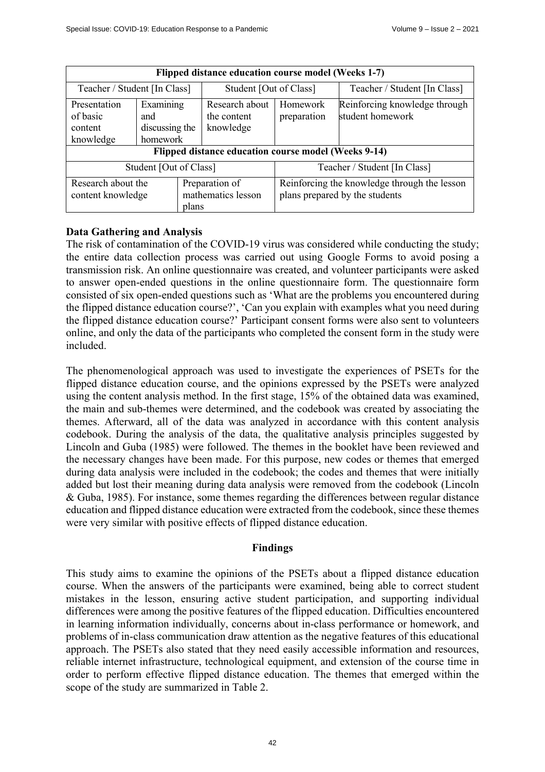| Flipped distance education course model (Weeks 1-7)  |                                                |                                            |                                                                                |                                                   |  |  |  |
|------------------------------------------------------|------------------------------------------------|--------------------------------------------|--------------------------------------------------------------------------------|---------------------------------------------------|--|--|--|
| Teacher / Student [In Class]                         |                                                | Student [Out of Class]                     |                                                                                | Teacher / Student [In Class]                      |  |  |  |
| Presentation<br>of basic<br>content<br>knowledge     | Examining<br>and<br>discussing the<br>homework | Research about<br>the content<br>knowledge | Homework<br>preparation                                                        | Reinforcing knowledge through<br>student homework |  |  |  |
| Flipped distance education course model (Weeks 9-14) |                                                |                                            |                                                                                |                                                   |  |  |  |
| Student [Out of Class]                               |                                                |                                            | Teacher / Student [In Class]                                                   |                                                   |  |  |  |
| Research about the<br>content knowledge<br>plans     |                                                | Preparation of<br>mathematics lesson       | Reinforcing the knowledge through the lesson<br>plans prepared by the students |                                                   |  |  |  |

# **Data Gathering and Analysis**

The risk of contamination of the COVID-19 virus was considered while conducting the study; the entire data collection process was carried out using Google Forms to avoid posing a transmission risk. An online questionnaire was created, and volunteer participants were asked to answer open-ended questions in the online questionnaire form. The questionnaire form consisted of six open-ended questions such as 'What are the problems you encountered during the flipped distance education course?', 'Can you explain with examples what you need during the flipped distance education course?' Participant consent forms were also sent to volunteers online, and only the data of the participants who completed the consent form in the study were included.

The phenomenological approach was used to investigate the experiences of PSETs for the flipped distance education course, and the opinions expressed by the PSETs were analyzed using the content analysis method. In the first stage, 15% of the obtained data was examined, the main and sub-themes were determined, and the codebook was created by associating the themes. Afterward, all of the data was analyzed in accordance with this content analysis codebook. During the analysis of the data, the qualitative analysis principles suggested by Lincoln and Guba (1985) were followed. The themes in the booklet have been reviewed and the necessary changes have been made. For this purpose, new codes or themes that emerged during data analysis were included in the codebook; the codes and themes that were initially added but lost their meaning during data analysis were removed from the codebook (Lincoln & Guba, 1985). For instance, some themes regarding the differences between regular distance education and flipped distance education were extracted from the codebook, since these themes were very similar with positive effects of flipped distance education.

## **Findings**

This study aims to examine the opinions of the PSETs about a flipped distance education course. When the answers of the participants were examined, being able to correct student mistakes in the lesson, ensuring active student participation, and supporting individual differences were among the positive features of the flipped education. Difficulties encountered in learning information individually, concerns about in-class performance or homework, and problems of in-class communication draw attention as the negative features of this educational approach. The PSETs also stated that they need easily accessible information and resources, reliable internet infrastructure, technological equipment, and extension of the course time in order to perform effective flipped distance education. The themes that emerged within the scope of the study are summarized in Table 2.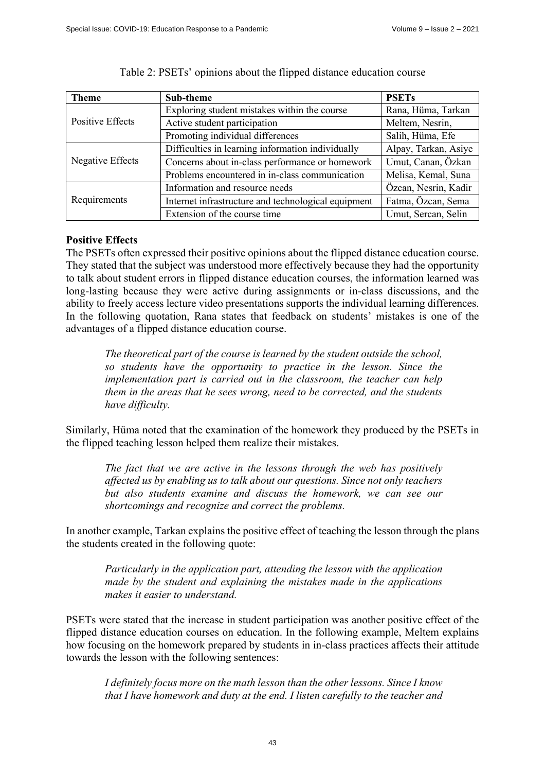| <b>Theme</b>     | Sub-theme                                           | <b>PSETs</b>         |
|------------------|-----------------------------------------------------|----------------------|
| Positive Effects | Exploring student mistakes within the course        | Rana, Hüma, Tarkan   |
|                  | Active student participation                        | Meltem, Nesrin,      |
|                  | Promoting individual differences                    | Salih, Hüma, Efe     |
| Negative Effects | Difficulties in learning information individually   | Alpay, Tarkan, Asiye |
|                  | Concerns about in-class performance or homework     | Umut, Canan, Özkan   |
|                  | Problems encountered in in-class communication      | Melisa, Kemal, Suna  |
| Requirements     | Information and resource needs                      | Özcan, Nesrin, Kadir |
|                  | Internet infrastructure and technological equipment | Fatma, Özcan, Sema   |
|                  | Extension of the course time                        | Umut, Sercan, Selin  |

#### Table 2: PSETs' opinions about the flipped distance education course

# **Positive Effects**

The PSETs often expressed their positive opinions about the flipped distance education course. They stated that the subject was understood more effectively because they had the opportunity to talk about student errors in flipped distance education courses, the information learned was long-lasting because they were active during assignments or in-class discussions, and the ability to freely access lecture video presentations supports the individual learning differences. In the following quotation, Rana states that feedback on students' mistakes is one of the advantages of a flipped distance education course.

*The theoretical part of the course is learned by the student outside the school, so students have the opportunity to practice in the lesson. Since the implementation part is carried out in the classroom, the teacher can help them in the areas that he sees wrong, need to be corrected, and the students have difficulty.*

Similarly, Hüma noted that the examination of the homework they produced by the PSETs in the flipped teaching lesson helped them realize their mistakes.

*The fact that we are active in the lessons through the web has positively affected us by enabling us to talk about our questions. Since not only teachers but also students examine and discuss the homework, we can see our shortcomings and recognize and correct the problems.* 

In another example, Tarkan explains the positive effect of teaching the lesson through the plans the students created in the following quote:

*Particularly in the application part, attending the lesson with the application made by the student and explaining the mistakes made in the applications makes it easier to understand.* 

PSETs were stated that the increase in student participation was another positive effect of the flipped distance education courses on education. In the following example, Meltem explains how focusing on the homework prepared by students in in-class practices affects their attitude towards the lesson with the following sentences:

*I definitely focus more on the math lesson than the other lessons. Since I know that I have homework and duty at the end. I listen carefully to the teacher and*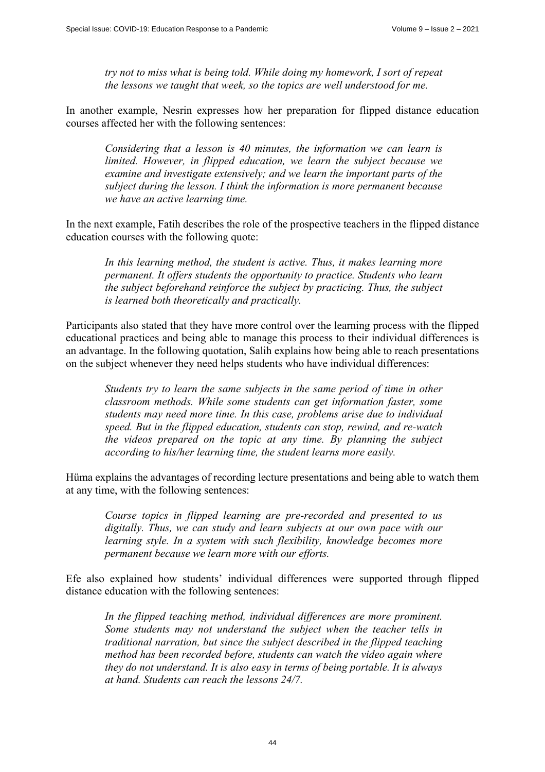*try not to miss what is being told. While doing my homework, I sort of repeat the lessons we taught that week, so the topics are well understood for me.* 

In another example, Nesrin expresses how her preparation for flipped distance education courses affected her with the following sentences:

*Considering that a lesson is 40 minutes, the information we can learn is limited. However, in flipped education, we learn the subject because we examine and investigate extensively; and we learn the important parts of the subject during the lesson. I think the information is more permanent because we have an active learning time.* 

In the next example, Fatih describes the role of the prospective teachers in the flipped distance education courses with the following quote:

*In this learning method, the student is active. Thus, it makes learning more permanent. It offers students the opportunity to practice. Students who learn the subject beforehand reinforce the subject by practicing. Thus, the subject is learned both theoretically and practically.* 

Participants also stated that they have more control over the learning process with the flipped educational practices and being able to manage this process to their individual differences is an advantage. In the following quotation, Salih explains how being able to reach presentations on the subject whenever they need helps students who have individual differences:

*Students try to learn the same subjects in the same period of time in other classroom methods. While some students can get information faster, some students may need more time. In this case, problems arise due to individual speed. But in the flipped education, students can stop, rewind, and re-watch the videos prepared on the topic at any time. By planning the subject according to his/her learning time, the student learns more easily.* 

Hüma explains the advantages of recording lecture presentations and being able to watch them at any time, with the following sentences:

*Course topics in flipped learning are pre-recorded and presented to us digitally. Thus, we can study and learn subjects at our own pace with our learning style. In a system with such flexibility, knowledge becomes more permanent because we learn more with our efforts.* 

Efe also explained how students' individual differences were supported through flipped distance education with the following sentences:

*In the flipped teaching method, individual differences are more prominent. Some students may not understand the subject when the teacher tells in traditional narration, but since the subject described in the flipped teaching method has been recorded before, students can watch the video again where they do not understand. It is also easy in terms of being portable. It is always at hand. Students can reach the lessons 24/7.*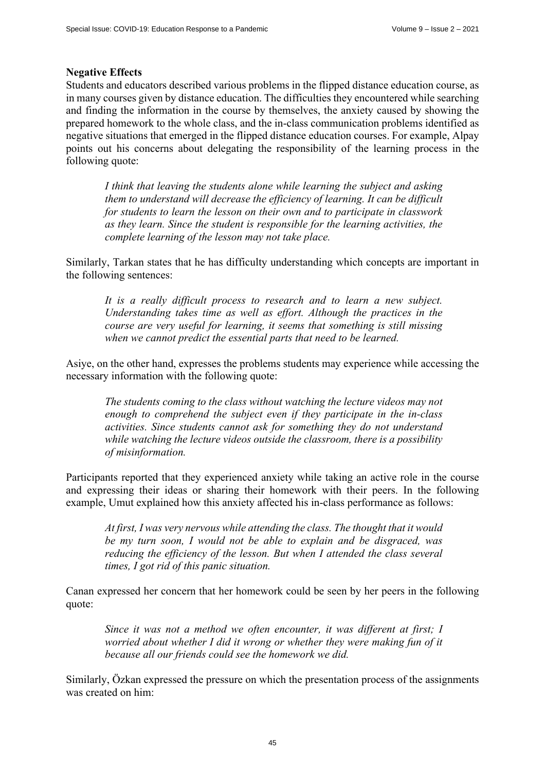#### **Negative Effects**

Students and educators described various problems in the flipped distance education course, as in many courses given by distance education. The difficulties they encountered while searching and finding the information in the course by themselves, the anxiety caused by showing the prepared homework to the whole class, and the in-class communication problems identified as negative situations that emerged in the flipped distance education courses. For example, Alpay points out his concerns about delegating the responsibility of the learning process in the following quote:

*I think that leaving the students alone while learning the subject and asking them to understand will decrease the efficiency of learning. It can be difficult for students to learn the lesson on their own and to participate in classwork as they learn. Since the student is responsible for the learning activities, the complete learning of the lesson may not take place.* 

Similarly, Tarkan states that he has difficulty understanding which concepts are important in the following sentences:

*It is a really difficult process to research and to learn a new subject. Understanding takes time as well as effort. Although the practices in the course are very useful for learning, it seems that something is still missing when we cannot predict the essential parts that need to be learned.* 

Asiye, on the other hand, expresses the problems students may experience while accessing the necessary information with the following quote:

*The students coming to the class without watching the lecture videos may not enough to comprehend the subject even if they participate in the in-class activities. Since students cannot ask for something they do not understand while watching the lecture videos outside the classroom, there is a possibility of misinformation.* 

Participants reported that they experienced anxiety while taking an active role in the course and expressing their ideas or sharing their homework with their peers. In the following example, Umut explained how this anxiety affected his in-class performance as follows:

*At first, I was very nervous while attending the class. The thought that it would be my turn soon, I would not be able to explain and be disgraced, was reducing the efficiency of the lesson. But when I attended the class several times, I got rid of this panic situation.* 

Canan expressed her concern that her homework could be seen by her peers in the following quote:

*Since it was not a method we often encounter, it was different at first; I worried about whether I did it wrong or whether they were making fun of it because all our friends could see the homework we did.* 

Similarly, Özkan expressed the pressure on which the presentation process of the assignments was created on him: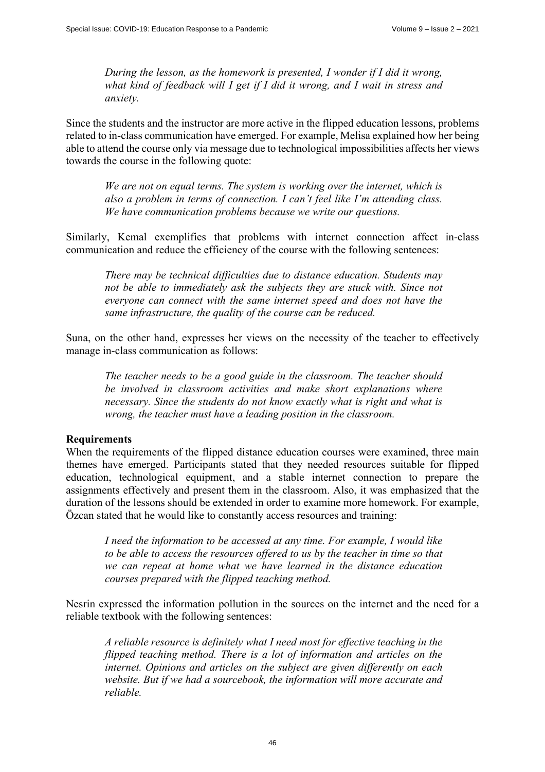*During the lesson, as the homework is presented, I wonder if I did it wrong, what kind of feedback will I get if I did it wrong, and I wait in stress and anxiety.* 

Since the students and the instructor are more active in the flipped education lessons, problems related to in-class communication have emerged. For example, Melisa explained how her being able to attend the course only via message due to technological impossibilities affects her views towards the course in the following quote:

*We are not on equal terms. The system is working over the internet, which is also a problem in terms of connection. I can't feel like I'm attending class. We have communication problems because we write our questions.* 

Similarly, Kemal exemplifies that problems with internet connection affect in-class communication and reduce the efficiency of the course with the following sentences:

*There may be technical difficulties due to distance education. Students may not be able to immediately ask the subjects they are stuck with. Since not everyone can connect with the same internet speed and does not have the same infrastructure, the quality of the course can be reduced.* 

Suna, on the other hand, expresses her views on the necessity of the teacher to effectively manage in-class communication as follows:

*The teacher needs to be a good guide in the classroom. The teacher should be involved in classroom activities and make short explanations where necessary. Since the students do not know exactly what is right and what is wrong, the teacher must have a leading position in the classroom.* 

#### **Requirements**

When the requirements of the flipped distance education courses were examined, three main themes have emerged. Participants stated that they needed resources suitable for flipped education, technological equipment, and a stable internet connection to prepare the assignments effectively and present them in the classroom. Also, it was emphasized that the duration of the lessons should be extended in order to examine more homework. For example, Özcan stated that he would like to constantly access resources and training:

*I need the information to be accessed at any time. For example, I would like to be able to access the resources offered to us by the teacher in time so that we can repeat at home what we have learned in the distance education courses prepared with the flipped teaching method.* 

Nesrin expressed the information pollution in the sources on the internet and the need for a reliable textbook with the following sentences:

*A reliable resource is definitely what I need most for effective teaching in the flipped teaching method. There is a lot of information and articles on the internet. Opinions and articles on the subject are given differently on each website. But if we had a sourcebook, the information will more accurate and reliable.*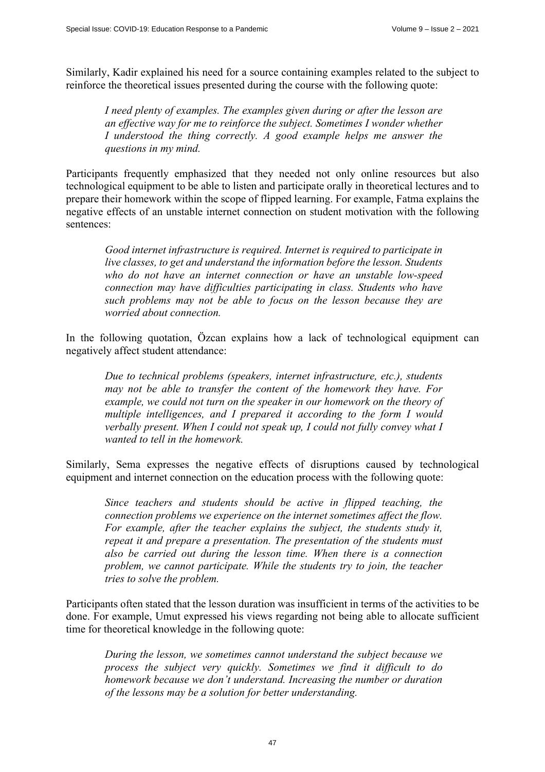Similarly, Kadir explained his need for a source containing examples related to the subject to reinforce the theoretical issues presented during the course with the following quote:

*I need plenty of examples. The examples given during or after the lesson are an effective way for me to reinforce the subject. Sometimes I wonder whether I understood the thing correctly. A good example helps me answer the questions in my mind.* 

Participants frequently emphasized that they needed not only online resources but also technological equipment to be able to listen and participate orally in theoretical lectures and to prepare their homework within the scope of flipped learning. For example, Fatma explains the negative effects of an unstable internet connection on student motivation with the following sentences:

*Good internet infrastructure is required. Internet is required to participate in live classes, to get and understand the information before the lesson. Students who do not have an internet connection or have an unstable low-speed connection may have difficulties participating in class. Students who have such problems may not be able to focus on the lesson because they are worried about connection.* 

In the following quotation, Özcan explains how a lack of technological equipment can negatively affect student attendance:

*Due to technical problems (speakers, internet infrastructure, etc.), students may not be able to transfer the content of the homework they have. For example, we could not turn on the speaker in our homework on the theory of multiple intelligences, and I prepared it according to the form I would verbally present. When I could not speak up, I could not fully convey what I wanted to tell in the homework.* 

Similarly, Sema expresses the negative effects of disruptions caused by technological equipment and internet connection on the education process with the following quote:

*Since teachers and students should be active in flipped teaching, the connection problems we experience on the internet sometimes affect the flow. For example, after the teacher explains the subject, the students study it, repeat it and prepare a presentation. The presentation of the students must also be carried out during the lesson time. When there is a connection problem, we cannot participate. While the students try to join, the teacher tries to solve the problem.* 

Participants often stated that the lesson duration was insufficient in terms of the activities to be done. For example, Umut expressed his views regarding not being able to allocate sufficient time for theoretical knowledge in the following quote:

*During the lesson, we sometimes cannot understand the subject because we process the subject very quickly. Sometimes we find it difficult to do homework because we don't understand. Increasing the number or duration of the lessons may be a solution for better understanding.*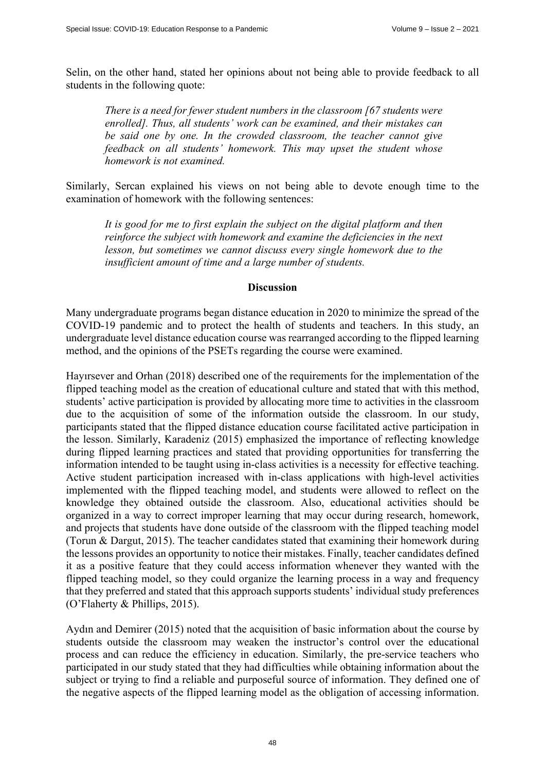Selin, on the other hand, stated her opinions about not being able to provide feedback to all students in the following quote:

*There is a need for fewer student numbers in the classroom [67 students were enrolled]. Thus, all students' work can be examined, and their mistakes can be said one by one. In the crowded classroom, the teacher cannot give feedback on all students' homework. This may upset the student whose homework is not examined.* 

Similarly, Sercan explained his views on not being able to devote enough time to the examination of homework with the following sentences:

*It is good for me to first explain the subject on the digital platform and then reinforce the subject with homework and examine the deficiencies in the next lesson, but sometimes we cannot discuss every single homework due to the insufficient amount of time and a large number of students.* 

#### **Discussion**

Many undergraduate programs began distance education in 2020 to minimize the spread of the COVID-19 pandemic and to protect the health of students and teachers. In this study, an undergraduate level distance education course was rearranged according to the flipped learning method, and the opinions of the PSETs regarding the course were examined.

Hayırsever and Orhan (2018) described one of the requirements for the implementation of the flipped teaching model as the creation of educational culture and stated that with this method, students' active participation is provided by allocating more time to activities in the classroom due to the acquisition of some of the information outside the classroom. In our study, participants stated that the flipped distance education course facilitated active participation in the lesson. Similarly, Karadeniz (2015) emphasized the importance of reflecting knowledge during flipped learning practices and stated that providing opportunities for transferring the information intended to be taught using in-class activities is a necessity for effective teaching. Active student participation increased with in-class applications with high-level activities implemented with the flipped teaching model, and students were allowed to reflect on the knowledge they obtained outside the classroom. Also, educational activities should be organized in a way to correct improper learning that may occur during research, homework, and projects that students have done outside of the classroom with the flipped teaching model (Torun & Dargut, 2015). The teacher candidates stated that examining their homework during the lessons provides an opportunity to notice their mistakes. Finally, teacher candidates defined it as a positive feature that they could access information whenever they wanted with the flipped teaching model, so they could organize the learning process in a way and frequency that they preferred and stated that this approach supports students' individual study preferences (O'Flaherty & Phillips, 2015).

Aydın and Demirer (2015) noted that the acquisition of basic information about the course by students outside the classroom may weaken the instructor's control over the educational process and can reduce the efficiency in education. Similarly, the pre-service teachers who participated in our study stated that they had difficulties while obtaining information about the subject or trying to find a reliable and purposeful source of information. They defined one of the negative aspects of the flipped learning model as the obligation of accessing information.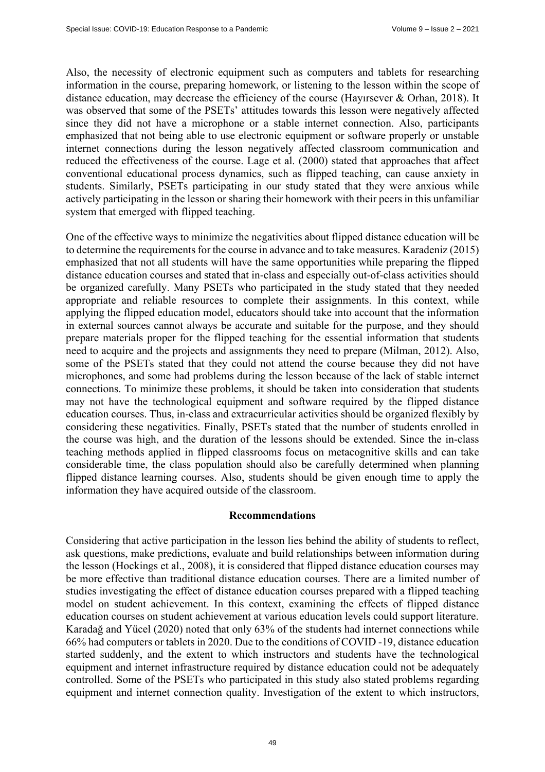Also, the necessity of electronic equipment such as computers and tablets for researching information in the course, preparing homework, or listening to the lesson within the scope of distance education, may decrease the efficiency of the course (Hayırsever & Orhan, 2018). It was observed that some of the PSETs' attitudes towards this lesson were negatively affected since they did not have a microphone or a stable internet connection. Also, participants emphasized that not being able to use electronic equipment or software properly or unstable internet connections during the lesson negatively affected classroom communication and reduced the effectiveness of the course. Lage et al. (2000) stated that approaches that affect conventional educational process dynamics, such as flipped teaching, can cause anxiety in students. Similarly, PSETs participating in our study stated that they were anxious while actively participating in the lesson or sharing their homework with their peers in this unfamiliar system that emerged with flipped teaching.

One of the effective ways to minimize the negativities about flipped distance education will be to determine the requirements for the course in advance and to take measures. Karadeniz (2015) emphasized that not all students will have the same opportunities while preparing the flipped distance education courses and stated that in-class and especially out-of-class activities should be organized carefully. Many PSETs who participated in the study stated that they needed appropriate and reliable resources to complete their assignments. In this context, while applying the flipped education model, educators should take into account that the information in external sources cannot always be accurate and suitable for the purpose, and they should prepare materials proper for the flipped teaching for the essential information that students need to acquire and the projects and assignments they need to prepare (Milman, 2012). Also, some of the PSETs stated that they could not attend the course because they did not have microphones, and some had problems during the lesson because of the lack of stable internet connections. To minimize these problems, it should be taken into consideration that students may not have the technological equipment and software required by the flipped distance education courses. Thus, in-class and extracurricular activities should be organized flexibly by considering these negativities. Finally, PSETs stated that the number of students enrolled in the course was high, and the duration of the lessons should be extended. Since the in-class teaching methods applied in flipped classrooms focus on metacognitive skills and can take considerable time, the class population should also be carefully determined when planning flipped distance learning courses. Also, students should be given enough time to apply the information they have acquired outside of the classroom.

#### **Recommendations**

Considering that active participation in the lesson lies behind the ability of students to reflect, ask questions, make predictions, evaluate and build relationships between information during the lesson (Hockings et al., 2008), it is considered that flipped distance education courses may be more effective than traditional distance education courses. There are a limited number of studies investigating the effect of distance education courses prepared with a flipped teaching model on student achievement. In this context, examining the effects of flipped distance education courses on student achievement at various education levels could support literature. Karadağ and Yücel (2020) noted that only 63% of the students had internet connections while 66% had computers or tablets in 2020. Due to the conditions of COVID -19, distance education started suddenly, and the extent to which instructors and students have the technological equipment and internet infrastructure required by distance education could not be adequately controlled. Some of the PSETs who participated in this study also stated problems regarding equipment and internet connection quality. Investigation of the extent to which instructors,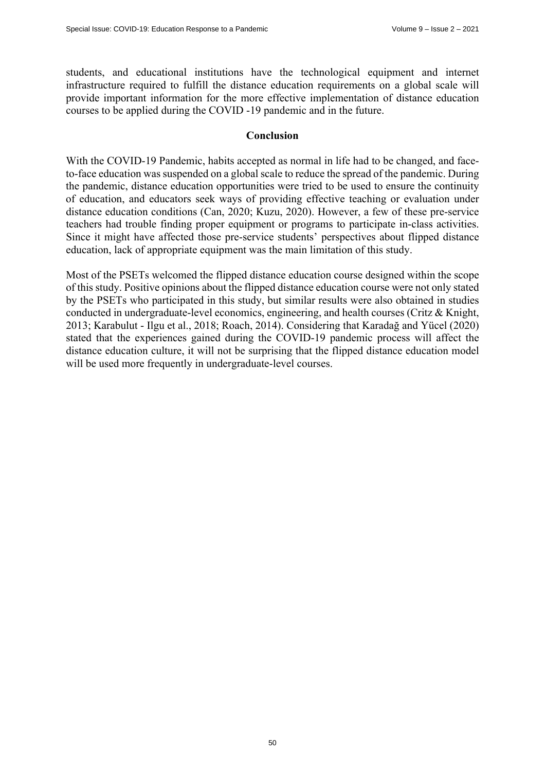students, and educational institutions have the technological equipment and internet infrastructure required to fulfill the distance education requirements on a global scale will provide important information for the more effective implementation of distance education courses to be applied during the COVID -19 pandemic and in the future.

#### **Conclusion**

With the COVID-19 Pandemic, habits accepted as normal in life had to be changed, and faceto-face education was suspended on a global scale to reduce the spread of the pandemic. During the pandemic, distance education opportunities were tried to be used to ensure the continuity of education, and educators seek ways of providing effective teaching or evaluation under distance education conditions (Can, 2020; Kuzu, 2020). However, a few of these pre-service teachers had trouble finding proper equipment or programs to participate in-class activities. Since it might have affected those pre-service students' perspectives about flipped distance education, lack of appropriate equipment was the main limitation of this study.

Most of the PSETs welcomed the flipped distance education course designed within the scope of this study. Positive opinions about the flipped distance education course were not only stated by the PSETs who participated in this study, but similar results were also obtained in studies conducted in undergraduate-level economics, engineering, and health courses (Critz & Knight, 2013; Karabulut ‐ Ilgu et al., 2018; Roach, 2014). Considering that Karadağ and Yücel (2020) stated that the experiences gained during the COVID-19 pandemic process will affect the distance education culture, it will not be surprising that the flipped distance education model will be used more frequently in undergraduate-level courses.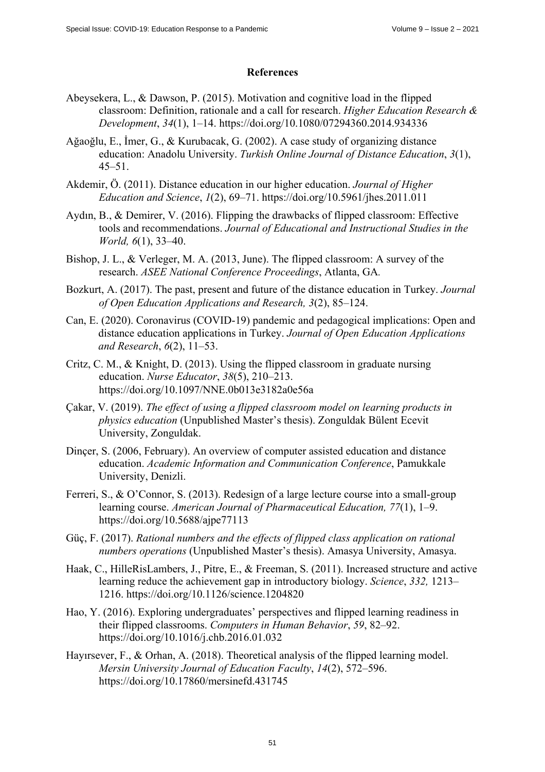# **References**

- Abeysekera, L., & Dawson, P. (2015). Motivation and cognitive load in the flipped classroom: Definition, rationale and a call for research. *Higher Education Research & Development*, *34*(1), 1–14.<https://doi.org/10.1080/07294360.2014.934336>
- Ağaoğlu, E., İmer, G., & Kurubacak, G. (2002). A case study of organizing distance education: Anadolu University. *Turkish Online Journal of Distance Education*, *3*(1), 45–51.
- Akdemir, Ö. (2011). Distance education in our higher education. *Journal of Higher Education and Science*, *1*(2), 69–71. <https://doi.org/10.5961/jhes.2011.011>
- Aydın, B., & Demirer, V. (2016). Flipping the drawbacks of flipped classroom: Effective tools and recommendations. *Journal of Educational and Instructional Studies in the World, 6*(1), 33–40.
- Bishop, J. L., & Verleger, M. A. (2013, June). The flipped classroom: A survey of the research. *ASEE National Conference Proceedings*, Atlanta, GA*.*
- Bozkurt, A. (2017). The past, present and future of the distance education in Turkey. *Journal of Open Education Applications and Research, 3*(2), 85–124.
- Can, E. (2020). Coronavirus (COVID-19) pandemic and pedagogical implications: Open and distance education applications in Turkey. *Journal of Open Education Applications and Research*, *6*(2), 11–53.
- Critz, C. M., & Knight, D. (2013). Using the flipped classroom in graduate nursing education. *Nurse Educator*, *38*(5), 210–213. <https://doi.org/10.1097/NNE.0b013e3182a0e56a>
- Çakar, V. (2019). *The effect of using a flipped classroom model on learning products in physics education* (Unpublished Master's thesis). Zonguldak Bülent Ecevit University, Zonguldak.
- Dinçer, S. (2006, February). An overview of computer assisted education and distance education. *Academic Information and Communication Conference*, Pamukkale University, Denizli.
- Ferreri, S., & O'Connor, S. (2013). Redesign of a large lecture course into a small-group learning course. *American Journal of Pharmaceutical Education, 77*(1), 1–9. <https://doi.org/10.5688/ajpe77113>
- Güç, F. (2017). *Rational numbers and the effects of flipped class application on rational numbers operations* (Unpublished Master's thesis). Amasya University, Amasya.
- Haak, C., HilleRisLambers, J., Pitre, E., & Freeman, S. (2011). Increased structure and active learning reduce the achievement gap in introductory biology. *Science*, *332,* 1213– 1216. <https://doi.org/10.1126/science.1204820>
- Hao, Y. (2016). Exploring undergraduates' perspectives and flipped learning readiness in their flipped classrooms. *Computers in Human Behavior*, *59*, 82–92. <https://doi.org/10.1016/j.chb.2016.01.032>
- Hayırsever, F., & Orhan, A. (2018). Theoretical analysis of the flipped learning model. *Mersin University Journal of Education Faculty*, *14*(2), 572–596. <https://doi.org/10.17860/mersinefd.431745>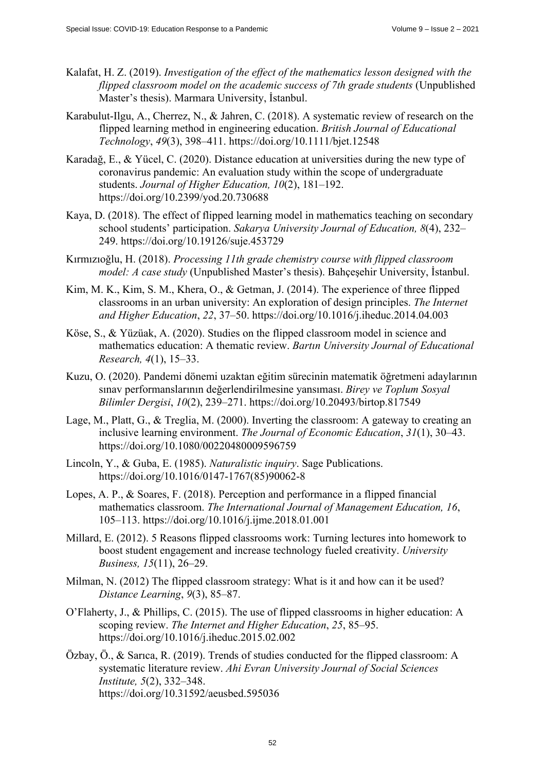- Kalafat, H. Z. (2019). *Investigation of the effect of the mathematics lesson designed with the flipped classroom model on the academic success of 7th grade students* (Unpublished Master's thesis). Marmara University, İstanbul.
- Karabulut-Ilgu, A., Cherrez, N., & Jahren, C. (2018). A systematic review of research on the flipped learning method in engineering education. *British Journal of Educational Technology*, *49*(3), 398–411. <https://doi.org/10.1111/bjet.12548>
- Karadağ, E., & Yücel, C. (2020). Distance education at universities during the new type of coronavirus pandemic: An evaluation study within the scope of undergraduate students. *Journal of Higher Education, 10*(2), 181–192. <https://doi.org/10.2399/yod.20.730688>
- Kaya, D. (2018). The effect of flipped learning model in mathematics teaching on secondary school students' participation. *Sakarya University Journal of Education, 8*(4), 232– 249. <https://doi.org/10.19126/suje.453729>
- Kırmızıoğlu, H. (2018). *Processing 11th grade chemistry course with flipped classroom model: A case study* (Unpublished Master's thesis). Bahçeşehir University, İstanbul.
- Kim, M. K., Kim, S. M., Khera, O., & Getman, J. (2014). The experience of three flipped classrooms in an urban university: An exploration of design principles. *The Internet and Higher Education*, *22*, 37–50.<https://doi.org/10.1016/j.iheduc.2014.04.003>
- Köse, S., & Yüzüak, A. (2020). Studies on the flipped classroom model in science and mathematics education: A thematic review. *Bartın University Journal of Educational Research, 4*(1), 15–33.
- Kuzu, O. (2020). Pandemi dönemi uzaktan eğitim sürecinin matematik öğretmeni adaylarının sınav performanslarının değerlendirilmesine yansıması. *Birey ve Toplum Sosyal Bilimler Dergisi*, *10*(2), 239–271.<https://doi.org/10.20493/birtop.817549>
- Lage, M., Platt, G., & Treglia, M. (2000). Inverting the classroom: A gateway to creating an inclusive learning environment. *The Journal of Economic Education*, *31*(1), 30–43. <https://doi.org/10.1080/00220480009596759>
- Lincoln, Y., & Guba, E. (1985). *Naturalistic inquiry*. Sage Publications. [https://doi.org/10.1016/0147-1767\(85](https://doi.org/10.1016/0147-1767))90062-8
- Lopes, A. P., & Soares, F. (2018). Perception and performance in a flipped financial mathematics classroom. *The International Journal of Management Education, 16*, 105–113. <https://doi.org/10.1016/j.ijme.2018.01.001>
- Millard, E. (2012). 5 Reasons flipped classrooms work: Turning lectures into homework to boost student engagement and increase technology fueled creativity. *University Business, 15*(11), 26–29.
- Milman, N. (2012) The flipped classroom strategy: What is it and how can it be used? *Distance Learning*, *9*(3), 85–87.
- O'Flaherty, J., & Phillips, C. (2015). The use of flipped classrooms in higher education: A scoping review. *The Internet and Higher Education*, *25*, 85–95. <https://doi.org/10.1016/j.iheduc.2015.02.002>
- Özbay, Ö., & Sarıca, R. (2019). Trends of studies conducted for the flipped classroom: A systematic literature review. *Ahi Evran University Journal of Social Sciences Institute, 5*(2), 332–348. <https://doi.org/10.31592/aeusbed.595036>